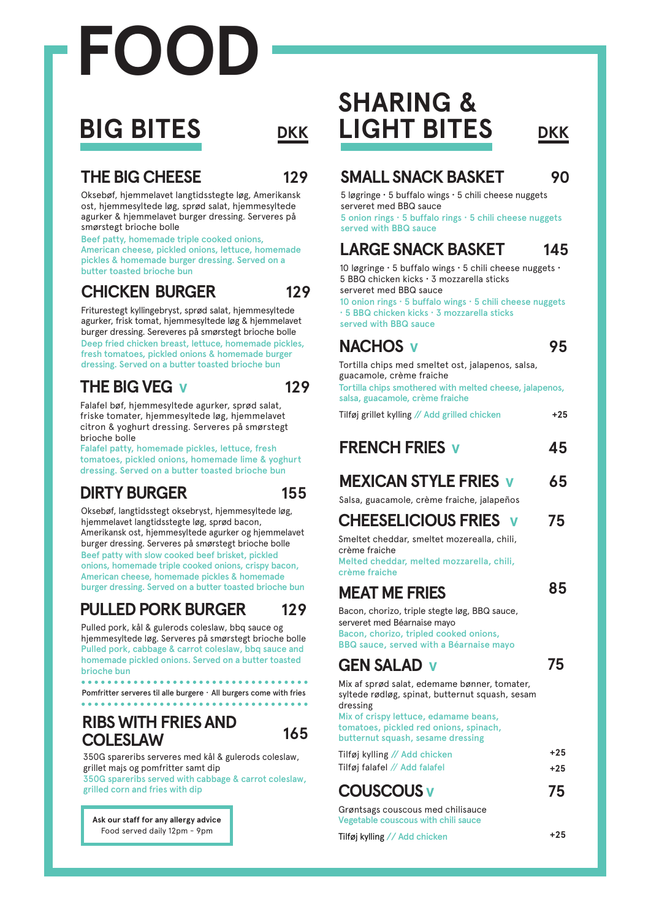# **FOOD**

# **BIG BITES**

### **THE BIG CHEESE 129**

Oksebøf, hjemmelavet langtidsstegte løg, Amerikansk ost, hjemmesyltede løg, sprød salat, hjemmesyltede agurker & hjemmelavet burger dressing. Serveres på smørstegt brioche bolle

Beef patty, homemade triple cooked onions, American cheese, pickled onions, lettuce, homemade pickles & homemade burger dressing. Served on a butter toasted brioche bun

### **CHICKEN BURGER**

**129** Friturestegt kyllingebryst, sprød salat, hjemmesyltede agurker, frisk tomat, hjemmesyltede løg & hjemmelavet

burger dressing. Sereveres på smørstegt brioche bolle Deep fried chicken breast, lettuce, homemade pickles, fresh tomatoes, pickled onions & homemade burger dressing. Served on a butter toasted brioche bun

### **THE BIG VEG v 129**

Falafel bøf, hjemmesyltede agurker, sprød salat, friske tomater, hjemmesyltede løg, hjemmelavet citron & yoghurt dressing. Serveres på smørstegt brioche bolle

Falafel patty, homemade pickles, lettuce, fresh tomatoes, pickled onions, homemade lime & yoghurt dressing. Served on a butter toasted brioche bun

### **DIRTY BURGER 155**

Oksebøf, langtidsstegt oksebryst, hjemmesyltede løg, hjemmelavet langtidsstegte løg, sprød bacon, Amerikansk ost, hjemmesyltede agurker og hjemmelavet burger dressing. Serveres på smørstegt brioche bolle Beef patty with slow cooked beef brisket, pickled onions, homemade triple cooked onions, crispy bacon, American cheese, homemade pickles & homemade burger dressing. Served on a butter toasted brioche bun

### **PULLED PORK BURGER 129**

Pulled pork, kål & gulerods coleslaw, bbq sauce og hjemmesyltede løg. Serveres på smørstegt brioche bolle Pulled pork, cabbage & carrot coleslaw, bbq sauce and homemade pickled onions. Served on a butter toasted brioche bun

Pomfritter serveres til alle burgere · All burgers come with fries

### **RIBS WITH FRIES AND COLESLAW**

**165**

350G spareribs serveres med kål & gulerods coleslaw, grillet majs og pomfritter samt dip 350G spareribs served with cabbage & carrot coleslaw,

grilled corn and fries with dip

**Ask our staff for any allergy advice** Food served daily 12pm - 9pm

## **SHARING & DKK LIGHT BITES DKK**

### **SMALL SNACK BASKET 90**

5 løgringe **·** 5 buffalo wings **·** 5 chili cheese nuggets serveret med BBQ sauce

5 onion rings **·** 5 buffalo rings **·** 5 chili cheese nuggets served with BBQ sauce

### **LARGE SNACK BASKET 145**

10 løgringe **·** 5 buffalo wings **·** 5 chili cheese nuggets **·** 5 BBQ chicken kicks **·** 3 mozzarella sticks serveret med BBQ sauce

10 onion rings **·** 5 buffalo wings **·** 5 chili cheese nuggets **·** 5 BBQ chicken kicks **·** 3 mozzarella sticks

served with BBQ sauce

### **NACHOS v 95**

Tortilla chips med smeltet ost, jalapenos, salsa, guacamole, crème fraiche Tortilla chips smothered with melted cheese, jalapenos, salsa, guacamole, crème fraiche

Tilføj grillet kylling // Add grilled chicken **+25**

| <b>FRENCH FRIES V</b> |  |
|-----------------------|--|
|                       |  |

### **MEXICAN STYLE FRIES v 65**

Salsa, guacamole, crème fraiche, jalapeños

### **CHEESELICIOUS FRIES v 75**

Smeltet cheddar, smeltet mozerealla, chili, crème fraiche Melted cheddar, melted mozzarella, chili,

crème fraiche

### **MEAT ME FRIES**

**GEN SALAD v**

Bacon, chorizo, triple stegte løg, BBQ sauce, serveret med Béarnaise mayo Bacon, chorizo, tripled cooked onions, BBQ sauce, served with a Béarnaise mayo

### **75**

Mix af sprød salat, edemame bønner, tomater, syltede rødløg, spinat, butternut squash, sesam dressing

Mix of crispy lettuce, edamame beans, tomatoes, pickled red onions, spinach, butternut squash, sesame dressing

| Tilføj kylling // Add chicken | $+25$ |
|-------------------------------|-------|
| Tilføj falafel // Add falafel | $+25$ |

### **COUSCOUS v 75**

Grøntsags couscous med chilisauce Vegetable couscous with chili sauce

Tilføj kylling // Add chicken **+25**

**85**